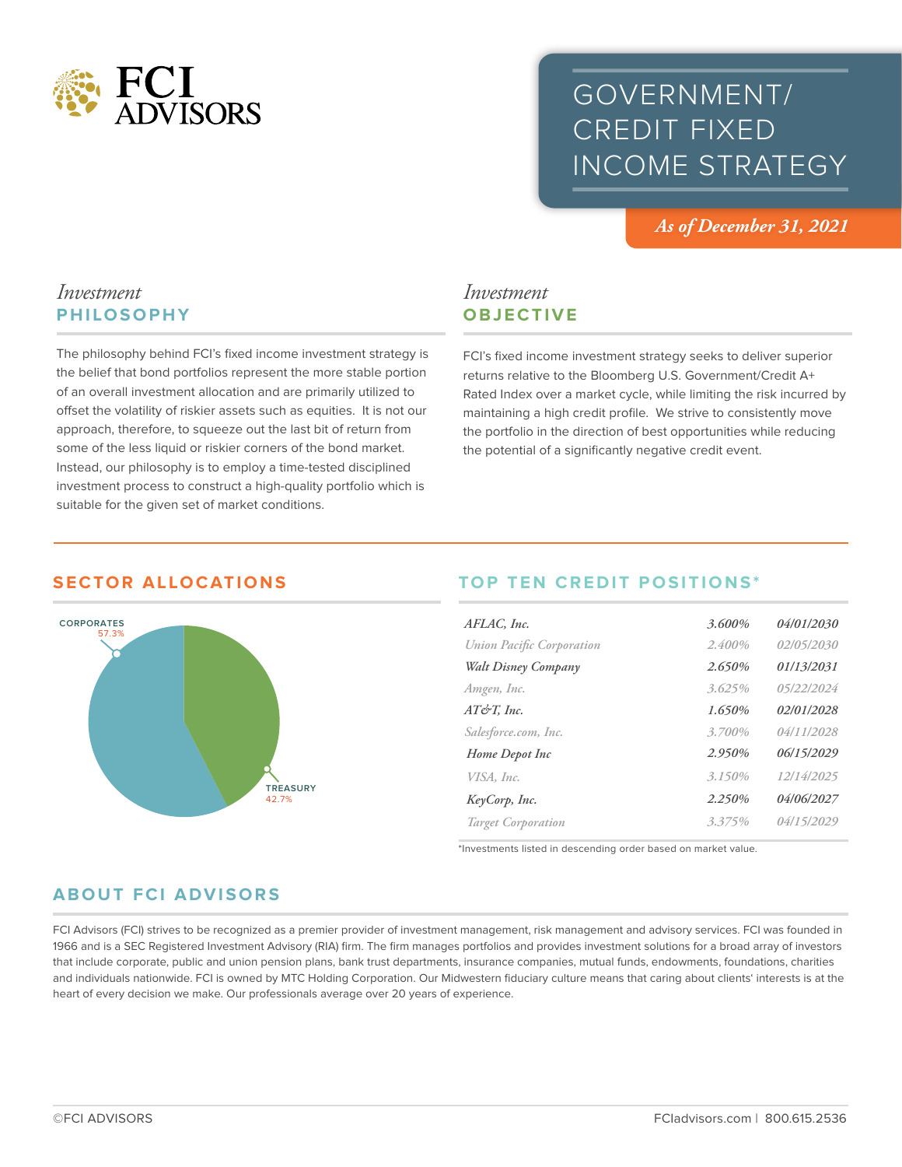

# GOVERNMENT/ CREDIT FIXED INCOME STRATEGY

*As of December 31, 2021*

# *Investment* **PHILOSOPHY**

The philosophy behind FCI's fixed income investment strategy is the belief that bond portfolios represent the more stable portion of an overall investment allocation and are primarily utilized to offset the volatility of riskier assets such as equities. It is not our approach, therefore, to squeeze out the last bit of return from some of the less liquid or riskier corners of the bond market. Instead, our philosophy is to employ a time-tested disciplined investment process to construct a high-quality portfolio which is suitable for the given set of market conditions.

# *Investment* **OBJECTIVE**

FCI's fixed income investment strategy seeks to deliver superior returns relative to the Bloomberg U.S. Government/Credit A+ Rated Index over a market cycle, while limiting the risk incurred by maintaining a high credit profile. We strive to consistently move the portfolio in the direction of best opportunities while reducing the potential of a significantly negative credit event.

## **SECTOR ALLOCATIONS**



# **TOP TEN CREDIT POSITIONS\***

| AFLAC, Inc.                      | 3.600% | 04/01/2030        |
|----------------------------------|--------|-------------------|
| <b>Union Pacific Corporation</b> | 2.400% | 02/05/2030        |
| Walt Disney Company              | 2.650% | 01/13/2031        |
| Amgen, Inc.                      | 3.625% | 05/22/2024        |
| $AT\acute{\sigma}T$ , Inc.       | 1.650% | 02/01/2028        |
| Salesforce.com, Inc.             | 3.700% | 04/11/2028        |
| Home Depot Inc                   | 2.950% | 06/15/2029        |
| VISA, Inc.                       | 3.150% | 12/14/2025        |
| KeyCorp, Inc.                    | 2.250% | <i>04/06/2027</i> |
| <b>Target Corporation</b>        | 3.375% | 04/15/2029        |
|                                  |        |                   |

\*Investments listed in descending order based on market value.

# **ABOUT FCI ADVISORS**

FCI Advisors (FCI) strives to be recognized as a premier provider of investment management, risk management and advisory services. FCI was founded in 1966 and is a SEC Registered Investment Advisory (RIA) firm. The firm manages portfolios and provides investment solutions for a broad array of investors that include corporate, public and union pension plans, bank trust departments, insurance companies, mutual funds, endowments, foundations, charities and individuals nationwide. FCI is owned by MTC Holding Corporation. Our Midwestern fiduciary culture means that caring about clients' interests is at the heart of every decision we make. Our professionals average over 20 years of experience.